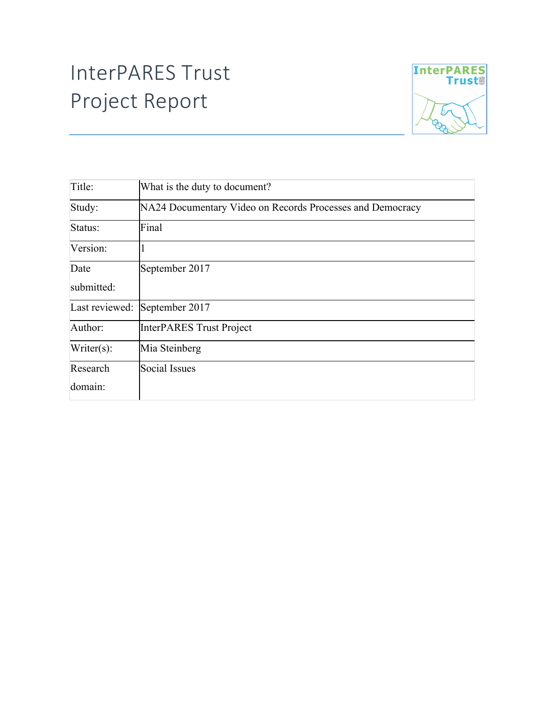## InterPARES Trust Project Report



| Title:         | What is the duty to document?                             |
|----------------|-----------------------------------------------------------|
| Study:         | NA24 Documentary Video on Records Processes and Democracy |
| Status:        | Final                                                     |
| Version:       |                                                           |
| Date           | September 2017                                            |
| submitted:     |                                                           |
| Last reviewed: | September 2017                                            |
| Author:        | InterPARES Trust Project                                  |
| Write(s):      | Mia Steinberg                                             |
| Research       | Social Issues                                             |
| domain:        |                                                           |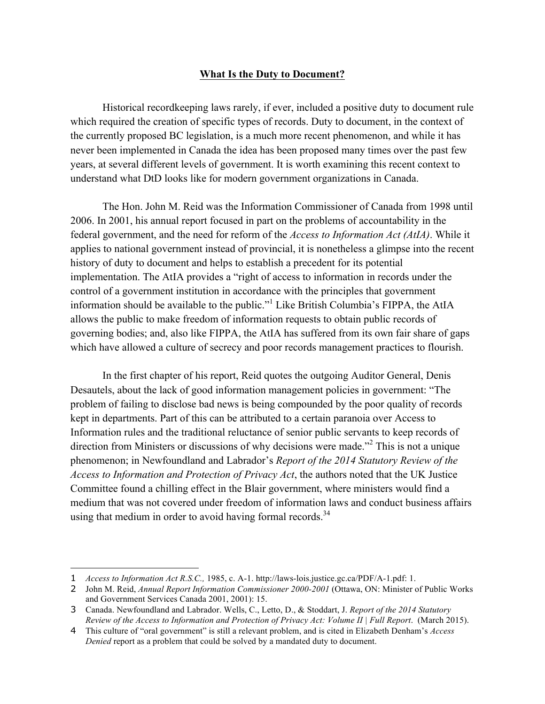## **What Is the Duty to Document?**

Historical recordkeeping laws rarely, if ever, included a positive duty to document rule which required the creation of specific types of records. Duty to document, in the context of the currently proposed BC legislation, is a much more recent phenomenon, and while it has never been implemented in Canada the idea has been proposed many times over the past few years, at several different levels of government. It is worth examining this recent context to understand what DtD looks like for modern government organizations in Canada.

The Hon. John M. Reid was the Information Commissioner of Canada from 1998 until 2006. In 2001, his annual report focused in part on the problems of accountability in the federal government, and the need for reform of the *Access to Information Act (AtIA)*. While it applies to national government instead of provincial, it is nonetheless a glimpse into the recent history of duty to document and helps to establish a precedent for its potential implementation. The AtIA provides a "right of access to information in records under the control of a government institution in accordance with the principles that government information should be available to the public."<sup>1</sup> Like British Columbia's FIPPA, the AtIA allows the public to make freedom of information requests to obtain public records of governing bodies; and, also like FIPPA, the AtIA has suffered from its own fair share of gaps which have allowed a culture of secrecy and poor records management practices to flourish.

In the first chapter of his report, Reid quotes the outgoing Auditor General, Denis Desautels, about the lack of good information management policies in government: "The problem of failing to disclose bad news is being compounded by the poor quality of records kept in departments. Part of this can be attributed to a certain paranoia over Access to Information rules and the traditional reluctance of senior public servants to keep records of direction from Ministers or discussions of why decisions were made."<sup>2</sup> This is not a unique phenomenon; in Newfoundland and Labrador's *Report of the 2014 Statutory Review of the Access to Information and Protection of Privacy Act*, the authors noted that the UK Justice Committee found a chilling effect in the Blair government, where ministers would find a medium that was not covered under freedom of information laws and conduct business affairs using that medium in order to avoid having formal records. $34$ 

 $\overline{a}$ 

<sup>1</sup> *Access to Information Act R.S.C.,* 1985, c. A-1. http://laws-lois.justice.gc.ca/PDF/A-1.pdf: 1.

<sup>2</sup> John M. Reid, *Annual Report Information Commissioner 2000-2001* (Ottawa, ON: Minister of Public Works and Government Services Canada 2001, 2001): 15.

<sup>3</sup> Canada. Newfoundland and Labrador. Wells, C., Letto, D., & Stoddart, J. *Report of the 2014 Statutory Review of the Access to Information and Protection of Privacy Act: Volume II | Full Report*. (March 2015).

<sup>4</sup> This culture of "oral government" is still a relevant problem, and is cited in Elizabeth Denham's *Access Denied* report as a problem that could be solved by a mandated duty to document.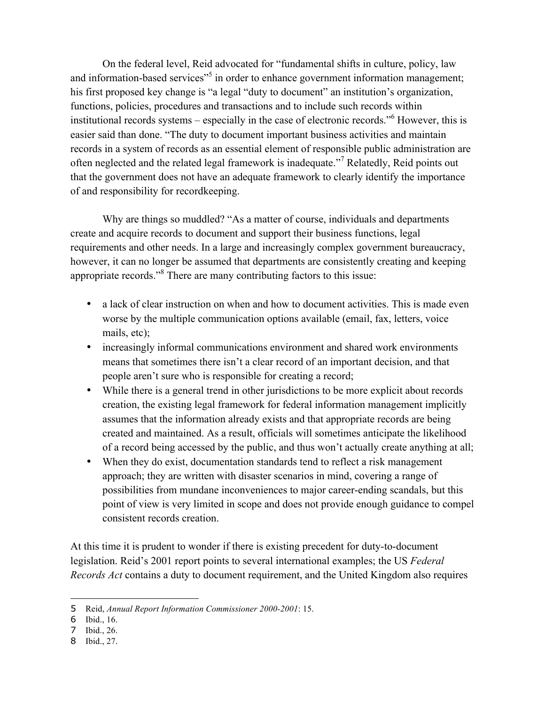On the federal level, Reid advocated for "fundamental shifts in culture, policy, law and information-based services<sup>"5</sup> in order to enhance government information management; his first proposed key change is "a legal "duty to document" an institution's organization, functions, policies, procedures and transactions and to include such records within institutional records systems – especially in the case of electronic records."<sup>6</sup> However, this is easier said than done. "The duty to document important business activities and maintain records in a system of records as an essential element of responsible public administration are often neglected and the related legal framework is inadequate."<sup>7</sup> Relatedly, Reid points out that the government does not have an adequate framework to clearly identify the importance of and responsibility for recordkeeping.

Why are things so muddled? "As a matter of course, individuals and departments create and acquire records to document and support their business functions, legal requirements and other needs. In a large and increasingly complex government bureaucracy, however, it can no longer be assumed that departments are consistently creating and keeping appropriate records."<sup>8</sup> There are many contributing factors to this issue:

- a lack of clear instruction on when and how to document activities. This is made even worse by the multiple communication options available (email, fax, letters, voice mails, etc);
- increasingly informal communications environment and shared work environments means that sometimes there isn't a clear record of an important decision, and that people aren't sure who is responsible for creating a record;
- While there is a general trend in other jurisdictions to be more explicit about records creation, the existing legal framework for federal information management implicitly assumes that the information already exists and that appropriate records are being created and maintained. As a result, officials will sometimes anticipate the likelihood of a record being accessed by the public, and thus won't actually create anything at all;
- When they do exist, documentation standards tend to reflect a risk management approach; they are written with disaster scenarios in mind, covering a range of possibilities from mundane inconveniences to major career-ending scandals, but this point of view is very limited in scope and does not provide enough guidance to compel consistent records creation.

At this time it is prudent to wonder if there is existing precedent for duty-to-document legislation. Reid's 2001 report points to several international examples; the US *Federal Records Act* contains a duty to document requirement, and the United Kingdom also requires

 $\overline{a}$ 

<sup>5</sup> Reid, *Annual Report Information Commissioner 2000-2001*: 15.

<sup>6</sup> Ibid., 16.

<sup>7</sup> Ibid., 26.

<sup>8</sup> Ibid., 27.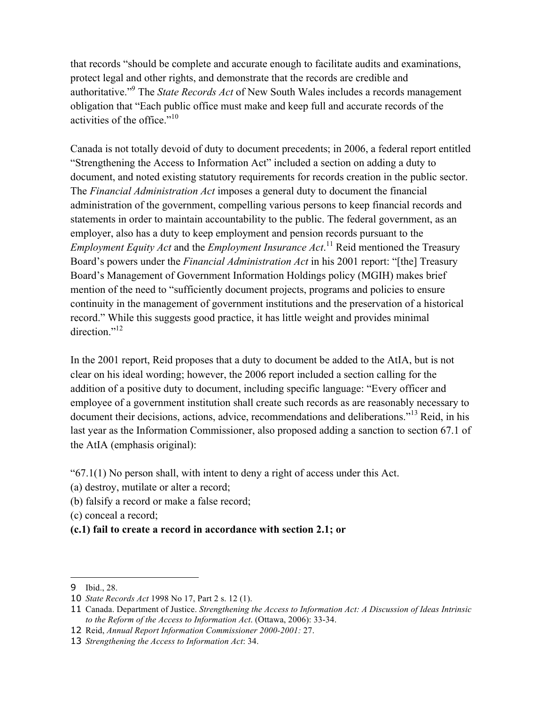that records "should be complete and accurate enough to facilitate audits and examinations, protect legal and other rights, and demonstrate that the records are credible and authoritative."9 The *State Records Act* of New South Wales includes a records management obligation that "Each public office must make and keep full and accurate records of the activities of the office."10

Canada is not totally devoid of duty to document precedents; in 2006, a federal report entitled "Strengthening the Access to Information Act" included a section on adding a duty to document, and noted existing statutory requirements for records creation in the public sector. The *Financial Administration Act* imposes a general duty to document the financial administration of the government, compelling various persons to keep financial records and statements in order to maintain accountability to the public. The federal government, as an employer, also has a duty to keep employment and pension records pursuant to the *Employment Equity Act* and the *Employment Insurance Act*. <sup>11</sup> Reid mentioned the Treasury Board's powers under the *Financial Administration Act* in his 2001 report: "[the] Treasury Board's Management of Government Information Holdings policy (MGIH) makes brief mention of the need to "sufficiently document projects, programs and policies to ensure continuity in the management of government institutions and the preservation of a historical record." While this suggests good practice, it has little weight and provides minimal direction $^{12}$ 

In the 2001 report, Reid proposes that a duty to document be added to the AtIA, but is not clear on his ideal wording; however, the 2006 report included a section calling for the addition of a positive duty to document, including specific language: "Every officer and employee of a government institution shall create such records as are reasonably necessary to document their decisions, actions, advice, recommendations and deliberations."<sup>13</sup> Reid, in his last year as the Information Commissioner, also proposed adding a sanction to section 67.1 of the AtIA (emphasis original):

"67.1(1) No person shall, with intent to deny a right of access under this Act.

- (a) destroy, mutilate or alter a record;
- (b) falsify a record or make a false record;
- (c) conceal a record;
- **(c.1) fail to create a record in accordance with section 2.1; or**

 $\overline{a}$ 

<sup>9</sup> Ibid., 28.

<sup>10</sup> *State Records Act* 1998 No 17, Part 2 s. 12 (1).

<sup>11</sup> Canada. Department of Justice. *Strengthening the Access to Information Act: A Discussion of Ideas Intrinsic to the Reform of the Access to Information Act*. (Ottawa, 2006): 33-34.

<sup>12</sup> Reid, *Annual Report Information Commissioner 2000-2001:* 27.

<sup>13</sup> *Strengthening the Access to Information Act*: 34.